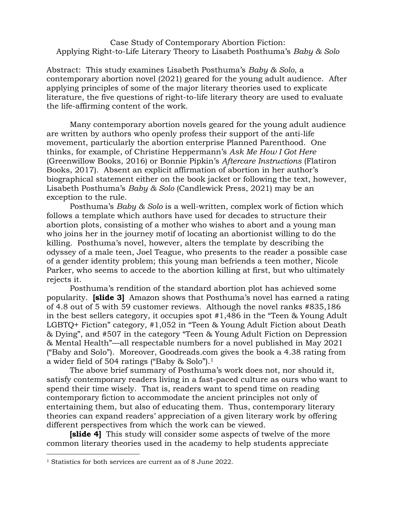Case Study of Contemporary Abortion Fiction: Applying Right-to-Life Literary Theory to Lisabeth Posthuma's *Baby & Solo*

Abstract: This study examines Lisabeth Posthuma's *Baby & Solo*, a contemporary abortion novel (2021) geared for the young adult audience. After applying principles of some of the major literary theories used to explicate literature, the five questions of right-to-life literary theory are used to evaluate the life-affirming content of the work.

Many contemporary abortion novels geared for the young adult audience are written by authors who openly profess their support of the anti-life movement, particularly the abortion enterprise Planned Parenthood. One thinks, for example, of Christine Heppermann's *Ask Me How I Got Here* (Greenwillow Books, 2016) or Bonnie Pipkin's *Aftercare Instructions* (Flatiron Books, 2017). Absent an explicit affirmation of abortion in her author's biographical statement either on the book jacket or following the text, however, Lisabeth Posthuma's *Baby & Solo* (Candlewick Press, 2021) may be an exception to the rule.

Posthuma's *Baby & Solo* is a well-written, complex work of fiction which follows a template which authors have used for decades to structure their abortion plots, consisting of a mother who wishes to abort and a young man who joins her in the journey motif of locating an abortionist willing to do the killing. Posthuma's novel, however, alters the template by describing the odyssey of a male teen, Joel Teague, who presents to the reader a possible case of a gender identity problem; this young man befriends a teen mother, Nicole Parker, who seems to accede to the abortion killing at first, but who ultimately rejects it.

Posthuma's rendition of the standard abortion plot has achieved some popularity. **[slide 3]** Amazon shows that Posthuma's novel has earned a rating of 4.8 out of 5 with 59 customer reviews. Although the novel ranks #835,186 in the best sellers category, it occupies spot #1,486 in the "Teen & Young Adult LGBTQ+ Fiction" category, #1,052 in "Teen & Young Adult Fiction about Death & Dying", and #507 in the category "Teen & Young Adult Fiction on Depression & Mental Health"—all respectable numbers for a novel published in May 2021 ("Baby and Solo"). Moreover, Goodreads.com gives the book a 4.38 rating from a wider field of 504 ratings ("Baby & Solo"). 1

The above brief summary of Posthuma's work does not, nor should it, satisfy contemporary readers living in a fast-paced culture as ours who want to spend their time wisely. That is, readers want to spend time on reading contemporary fiction to accommodate the ancient principles not only of entertaining them, but also of educating them. Thus, contemporary literary theories can expand readers' appreciation of a given literary work by offering different perspectives from which the work can be viewed.

**[slide 4]** This study will consider some aspects of twelve of the more common literary theories used in the academy to help students appreciate

 $\overline{a}$ 

<sup>1</sup> Statistics for both services are current as of 8 June 2022.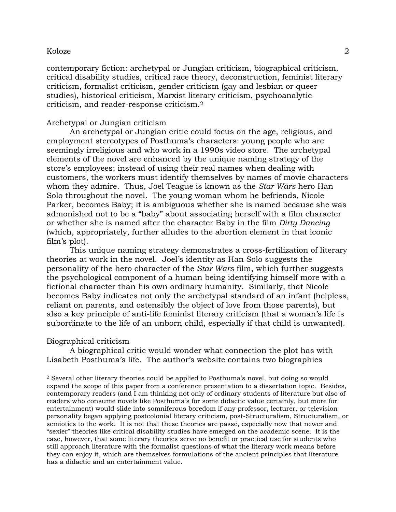contemporary fiction: archetypal or Jungian criticism, biographical criticism, critical disability studies, critical race theory, deconstruction, feminist literary criticism, formalist criticism, gender criticism (gay and lesbian or queer studies), historical criticism, Marxist literary criticism, psychoanalytic criticism, and reader-response criticism.<sup>2</sup>

# Archetypal or Jungian criticism

An archetypal or Jungian critic could focus on the age, religious, and employment stereotypes of Posthuma's characters: young people who are seemingly irreligious and who work in a 1990s video store. The archetypal elements of the novel are enhanced by the unique naming strategy of the store's employees; instead of using their real names when dealing with customers, the workers must identify themselves by names of movie characters whom they admire. Thus, Joel Teague is known as the *Star Wars* hero Han Solo throughout the novel. The young woman whom he befriends, Nicole Parker, becomes Baby; it is ambiguous whether she is named because she was admonished not to be a "baby" about associating herself with a film character or whether she is named after the character Baby in the film *Dirty Dancing* (which, appropriately, further alludes to the abortion element in that iconic film's plot).

This unique naming strategy demonstrates a cross-fertilization of literary theories at work in the novel. Joel's identity as Han Solo suggests the personality of the hero character of the *Star Wars* film, which further suggests the psychological component of a human being identifying himself more with a fictional character than his own ordinary humanity. Similarly, that Nicole becomes Baby indicates not only the archetypal standard of an infant (helpless, reliant on parents, and ostensibly the object of love from those parents), but also a key principle of anti-life feminist literary criticism (that a woman's life is subordinate to the life of an unborn child, especially if that child is unwanted).

## Biographical criticism

 $\overline{a}$ 

A biographical critic would wonder what connection the plot has with Lisabeth Posthuma's life. The author's website contains two biographies

<sup>2</sup> Several other literary theories could be applied to Posthuma's novel, but doing so would expand the scope of this paper from a conference presentation to a dissertation topic. Besides, contemporary readers (and I am thinking not only of ordinary students of literature but also of readers who consume novels like Posthuma's for some didactic value certainly, but more for entertainment) would slide into somniferous boredom if any professor, lecturer, or television personality began applying postcolonial literary criticism, post-Structuralism, Structuralism, or semiotics to the work. It is not that these theories are passé, especially now that newer and "sexier" theories like critical disability studies have emerged on the academic scene. It is the case, however, that some literary theories serve no benefit or practical use for students who still approach literature with the formalist questions of what the literary work means before they can enjoy it, which are themselves formulations of the ancient principles that literature has a didactic and an entertainment value.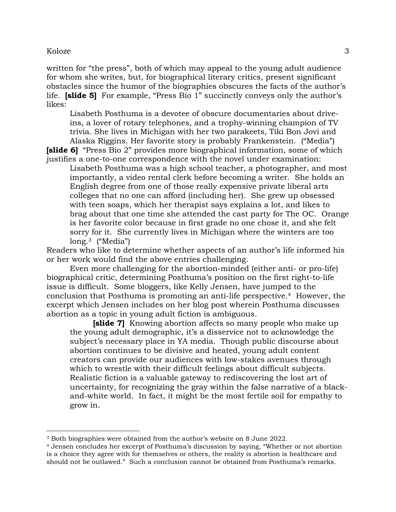$\overline{a}$ 

written for "the press", both of which may appeal to the young adult audience for whom she writes, but, for biographical literary critics, present significant obstacles since the humor of the biographies obscures the facts of the author's life. **[slide 5]** For example, "Press Bio 1" succinctly conveys only the author's likes:

Lisabeth Posthuma is a devotee of obscure documentaries about driveins, a lover of rotary telephones, and a trophy-winning champion of TV trivia. She lives in Michigan with her two parakeets, Tiki Bon Jovi and Alaska Riggins. Her favorite story is probably Frankenstein. ("Media")

**[slide 6]** "Press Bio 2" provides more biographical information, some of which justifies a one-to-one correspondence with the novel under examination:

Lisabeth Posthuma was a high school teacher, a photographer, and most importantly, a video rental clerk before becoming a writer. She holds an English degree from one of those really expensive private liberal arts colleges that no one can afford (including her). She grew up obsessed with teen soaps, which her therapist says explains a lot, and likes to brag about that one time she attended the cast party for The OC. Orange is her favorite color because in first grade no one chose it, and she felt sorry for it. She currently lives in Michigan where the winters are too long.<sup>3</sup> ("Media")

Readers who like to determine whether aspects of an author's life informed his or her work would find the above entries challenging.

Even more challenging for the abortion-minded (either anti- or pro-life) biographical critic, determining Posthuma's position on the first right-to-life issue is difficult. Some bloggers, like Kelly Jensen, have jumped to the conclusion that Posthuma is promoting an anti-life perspective. <sup>4</sup> However, the excerpt which Jensen includes on her blog post wherein Posthuma discusses abortion as a topic in young adult fiction is ambiguous.

**[slide 7]** Knowing abortion affects so many people who make up the young adult demographic, it's a disservice not to acknowledge the subject's necessary place in YA media. Though public discourse about abortion continues to be divisive and heated, young adult content creators can provide our audiences with low-stakes avenues through which to wrestle with their difficult feelings about difficult subjects. Realistic fiction is a valuable gateway to rediscovering the lost art of uncertainty, for recognizing the gray within the false narrative of a blackand-white world. In fact, it might be the most fertile soil for empathy to grow in.

<sup>3</sup> Both biographies were obtained from the author's website on 8 June 2022.

<sup>4</sup> Jensen concludes her excerpt of Posthuma's discussion by saying, "Whether or not abortion is a choice they agree with for themselves or others, the reality is abortion is healthcare and should not be outlawed." Such a conclusion cannot be obtained from Posthuma's remarks.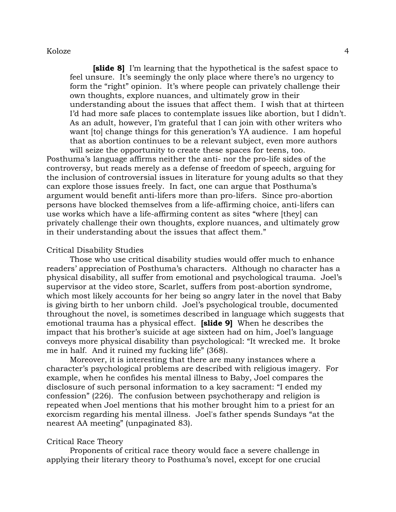**[slide 8]** I'm learning that the hypothetical is the safest space to feel unsure. It's seemingly the only place where there's no urgency to form the "right" opinion. It's where people can privately challenge their own thoughts, explore nuances, and ultimately grow in their understanding about the issues that affect them. I wish that at thirteen I'd had more safe places to contemplate issues like abortion, but I didn't. As an adult, however, I'm grateful that I can join with other writers who want [to] change things for this generation's YA audience. I am hopeful that as abortion continues to be a relevant subject, even more authors will seize the opportunity to create these spaces for teens, too.

Posthuma's language affirms neither the anti- nor the pro-life sides of the controversy, but reads merely as a defense of freedom of speech, arguing for the inclusion of controversial issues in literature for young adults so that they can explore those issues freely. In fact, one can argue that Posthuma's argument would benefit anti-lifers more than pro-lifers. Since pro-abortion persons have blocked themselves from a life-affirming choice, anti-lifers can use works which have a life-affirming content as sites "where [they] can privately challenge their own thoughts, explore nuances, and ultimately grow in their understanding about the issues that affect them."

#### Critical Disability Studies

Those who use critical disability studies would offer much to enhance readers' appreciation of Posthuma's characters. Although no character has a physical disability, all suffer from emotional and psychological trauma. Joel's supervisor at the video store, Scarlet, suffers from post-abortion syndrome, which most likely accounts for her being so angry later in the novel that Baby is giving birth to her unborn child. Joel's psychological trouble, documented throughout the novel, is sometimes described in language which suggests that emotional trauma has a physical effect. **[slide 9]** When he describes the impact that his brother's suicide at age sixteen had on him, Joel's language conveys more physical disability than psychological: "It wrecked me. It broke me in half. And it ruined my fucking life" (368).

Moreover, it is interesting that there are many instances where a character's psychological problems are described with religious imagery. For example, when he confides his mental illness to Baby, Joel compares the disclosure of such personal information to a key sacrament: "I ended my confession" (226). The confusion between psychotherapy and religion is repeated when Joel mentions that his mother brought him to a priest for an exorcism regarding his mental illness. Joel's father spends Sundays "at the nearest AA meeting" (unpaginated 83).

# Critical Race Theory

Proponents of critical race theory would face a severe challenge in applying their literary theory to Posthuma's novel, except for one crucial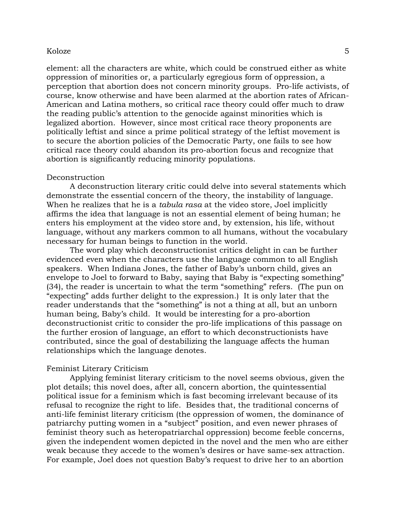element: all the characters are white, which could be construed either as white oppression of minorities or, a particularly egregious form of oppression, a perception that abortion does not concern minority groups. Pro-life activists, of course, know otherwise and have been alarmed at the abortion rates of African-American and Latina mothers, so critical race theory could offer much to draw the reading public's attention to the genocide against minorities which is legalized abortion. However, since most critical race theory proponents are politically leftist and since a prime political strategy of the leftist movement is to secure the abortion policies of the Democratic Party, one fails to see how critical race theory could abandon its pro-abortion focus and recognize that abortion is significantly reducing minority populations.

# Deconstruction

A deconstruction literary critic could delve into several statements which demonstrate the essential concern of the theory, the instability of language. When he realizes that he is a *tabula rasa* at the video store, Joel implicitly affirms the idea that language is not an essential element of being human; he enters his employment at the video store and, by extension, his life, without language, without any markers common to all humans, without the vocabulary necessary for human beings to function in the world.

The word play which deconstructionist critics delight in can be further evidenced even when the characters use the language common to all English speakers. When Indiana Jones, the father of Baby's unborn child, gives an envelope to Joel to forward to Baby, saying that Baby is "expecting something" (34), the reader is uncertain to what the term "something" refers. (The pun on "expecting" adds further delight to the expression.) It is only later that the reader understands that the "something" is not a thing at all, but an unborn human being, Baby's child. It would be interesting for a pro-abortion deconstructionist critic to consider the pro-life implications of this passage on the further erosion of language, an effort to which deconstructionists have contributed, since the goal of destabilizing the language affects the human relationships which the language denotes.

#### Feminist Literary Criticism

Applying feminist literary criticism to the novel seems obvious, given the plot details; this novel does, after all, concern abortion, the quintessential political issue for a feminism which is fast becoming irrelevant because of its refusal to recognize the right to life. Besides that, the traditional concerns of anti-life feminist literary criticism (the oppression of women, the dominance of patriarchy putting women in a "subject" position, and even newer phrases of feminist theory such as heteropatriarchal oppression) become feeble concerns, given the independent women depicted in the novel and the men who are either weak because they accede to the women's desires or have same-sex attraction. For example, Joel does not question Baby's request to drive her to an abortion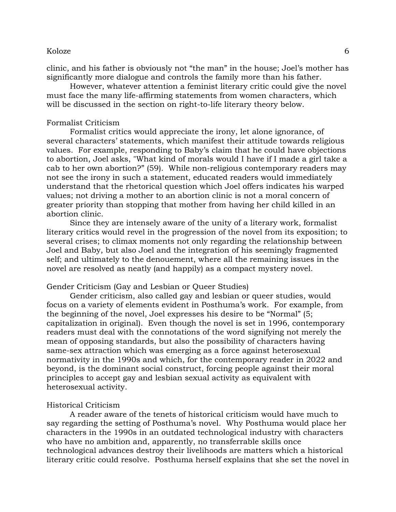clinic, and his father is obviously not "the man" in the house; Joel's mother has significantly more dialogue and controls the family more than his father.

However, whatever attention a feminist literary critic could give the novel must face the many life-affirming statements from women characters, which will be discussed in the section on right-to-life literary theory below.

#### Formalist Criticism

Formalist critics would appreciate the irony, let alone ignorance, of several characters' statements, which manifest their attitude towards religious values. For example, responding to Baby's claim that he could have objections to abortion, Joel asks, "What kind of morals would I have if I made a girl take a cab to her own abortion?" (59). While non-religious contemporary readers may not see the irony in such a statement, educated readers would immediately understand that the rhetorical question which Joel offers indicates his warped values; not driving a mother to an abortion clinic is not a moral concern of greater priority than stopping that mother from having her child killed in an abortion clinic.

Since they are intensely aware of the unity of a literary work, formalist literary critics would revel in the progression of the novel from its exposition; to several crises; to climax moments not only regarding the relationship between Joel and Baby, but also Joel and the integration of his seemingly fragmented self; and ultimately to the denouement, where all the remaining issues in the novel are resolved as neatly (and happily) as a compact mystery novel.

# Gender Criticism (Gay and Lesbian or Queer Studies)

Gender criticism, also called gay and lesbian or queer studies, would focus on a variety of elements evident in Posthuma's work. For example, from the beginning of the novel, Joel expresses his desire to be "Normal" (5; capitalization in original). Even though the novel is set in 1996, contemporary readers must deal with the connotations of the word signifying not merely the mean of opposing standards, but also the possibility of characters having same-sex attraction which was emerging as a force against heterosexual normativity in the 1990s and which, for the contemporary reader in 2022 and beyond, is the dominant social construct, forcing people against their moral principles to accept gay and lesbian sexual activity as equivalent with heterosexual activity.

# Historical Criticism

A reader aware of the tenets of historical criticism would have much to say regarding the setting of Posthuma's novel. Why Posthuma would place her characters in the 1990s in an outdated technological industry with characters who have no ambition and, apparently, no transferrable skills once technological advances destroy their livelihoods are matters which a historical literary critic could resolve. Posthuma herself explains that she set the novel in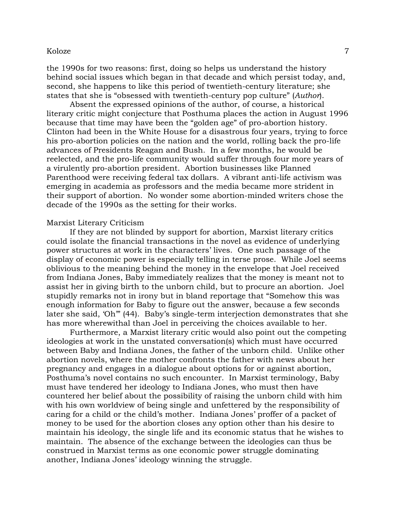the 1990s for two reasons: first, doing so helps us understand the history behind social issues which began in that decade and which persist today, and, second, she happens to like this period of twentieth-century literature; she states that she is "obsessed with twentieth-century pop culture" (*Author*).

Absent the expressed opinions of the author, of course, a historical literary critic might conjecture that Posthuma places the action in August 1996 because that time may have been the "golden age" of pro-abortion history. Clinton had been in the White House for a disastrous four years, trying to force his pro-abortion policies on the nation and the world, rolling back the pro-life advances of Presidents Reagan and Bush. In a few months, he would be reelected, and the pro-life community would suffer through four more years of a virulently pro-abortion president. Abortion businesses like Planned Parenthood were receiving federal tax dollars. A vibrant anti-life activism was emerging in academia as professors and the media became more strident in their support of abortion. No wonder some abortion-minded writers chose the decade of the 1990s as the setting for their works.

#### Marxist Literary Criticism

If they are not blinded by support for abortion, Marxist literary critics could isolate the financial transactions in the novel as evidence of underlying power structures at work in the characters' lives. One such passage of the display of economic power is especially telling in terse prose. While Joel seems oblivious to the meaning behind the money in the envelope that Joel received from Indiana Jones, Baby immediately realizes that the money is meant not to assist her in giving birth to the unborn child, but to procure an abortion. Joel stupidly remarks not in irony but in bland reportage that "Somehow this was enough information for Baby to figure out the answer, because a few seconds later she said, 'Oh'" (44). Baby's single-term interjection demonstrates that she has more wherewithal than Joel in perceiving the choices available to her.

Furthermore, a Marxist literary critic would also point out the competing ideologies at work in the unstated conversation(s) which must have occurred between Baby and Indiana Jones, the father of the unborn child. Unlike other abortion novels, where the mother confronts the father with news about her pregnancy and engages in a dialogue about options for or against abortion, Posthuma's novel contains no such encounter. In Marxist terminology, Baby must have tendered her ideology to Indiana Jones, who must then have countered her belief about the possibility of raising the unborn child with him with his own worldview of being single and unfettered by the responsibility of caring for a child or the child's mother. Indiana Jones' proffer of a packet of money to be used for the abortion closes any option other than his desire to maintain his ideology, the single life and its economic status that he wishes to maintain. The absence of the exchange between the ideologies can thus be construed in Marxist terms as one economic power struggle dominating another, Indiana Jones' ideology winning the struggle.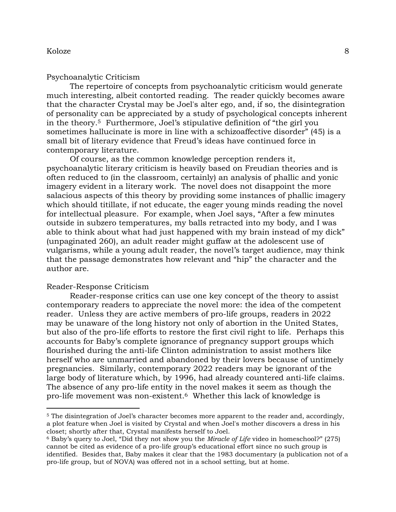#### Psychoanalytic Criticism

The repertoire of concepts from psychoanalytic criticism would generate much interesting, albeit contorted reading. The reader quickly becomes aware that the character Crystal may be Joel's alter ego, and, if so, the disintegration of personality can be appreciated by a study of psychological concepts inherent in the theory.5 Furthermore, Joel's stipulative definition of "the girl you sometimes hallucinate is more in line with a schizoaffective disorder" (45) is a small bit of literary evidence that Freud's ideas have continued force in contemporary literature.

Of course, as the common knowledge perception renders it, psychoanalytic literary criticism is heavily based on Freudian theories and is often reduced to (in the classroom, certainly) an analysis of phallic and yonic imagery evident in a literary work. The novel does not disappoint the more salacious aspects of this theory by providing some instances of phallic imagery which should titillate, if not educate, the eager young minds reading the novel for intellectual pleasure. For example, when Joel says, "After a few minutes outside in subzero temperatures, my balls retracted into my body, and I was able to think about what had just happened with my brain instead of my dick" (unpaginated 260), an adult reader might guffaw at the adolescent use of vulgarisms, while a young adult reader, the novel's target audience, may think that the passage demonstrates how relevant and "hip" the character and the author are.

# Reader-Response Criticism

 $\overline{a}$ 

Reader-response critics can use one key concept of the theory to assist contemporary readers to appreciate the novel more: the idea of the competent reader. Unless they are active members of pro-life groups, readers in 2022 may be unaware of the long history not only of abortion in the United States, but also of the pro-life efforts to restore the first civil right to life. Perhaps this accounts for Baby's complete ignorance of pregnancy support groups which flourished during the anti-life Clinton administration to assist mothers like herself who are unmarried and abandoned by their lovers because of untimely pregnancies. Similarly, contemporary 2022 readers may be ignorant of the large body of literature which, by 1996, had already countered anti-life claims. The absence of any pro-life entity in the novel makes it seem as though the pro-life movement was non-existent. <sup>6</sup> Whether this lack of knowledge is

<sup>&</sup>lt;sup>5</sup> The disintegration of Joel's character becomes more apparent to the reader and, accordingly, a plot feature when Joel is visited by Crystal and when Joel's mother discovers a dress in his closet; shortly after that, Crystal manifests herself to Joel.

<sup>6</sup> Baby's query to Joel, "Did they not show you the *Miracle of Life* video in homeschool?" (275) cannot be cited as evidence of a pro-life group's educational effort since no such group is identified. Besides that, Baby makes it clear that the 1983 documentary (a publication not of a pro-life group, but of NOVA) was offered not in a school setting, but at home.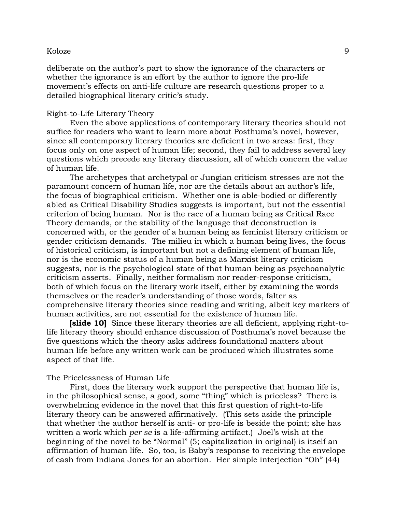deliberate on the author's part to show the ignorance of the characters or whether the ignorance is an effort by the author to ignore the pro-life movement's effects on anti-life culture are research questions proper to a detailed biographical literary critic's study.

# Right-to-Life Literary Theory

Even the above applications of contemporary literary theories should not suffice for readers who want to learn more about Posthuma's novel, however, since all contemporary literary theories are deficient in two areas: first, they focus only on one aspect of human life; second, they fail to address several key questions which precede any literary discussion, all of which concern the value of human life.

The archetypes that archetypal or Jungian criticism stresses are not the paramount concern of human life, nor are the details about an author's life, the focus of biographical criticism. Whether one is able-bodied or differently abled as Critical Disability Studies suggests is important, but not the essential criterion of being human. Nor is the race of a human being as Critical Race Theory demands, or the stability of the language that deconstruction is concerned with, or the gender of a human being as feminist literary criticism or gender criticism demands. The milieu in which a human being lives, the focus of historical criticism, is important but not a defining element of human life, nor is the economic status of a human being as Marxist literary criticism suggests, nor is the psychological state of that human being as psychoanalytic criticism asserts. Finally, neither formalism nor reader-response criticism, both of which focus on the literary work itself, either by examining the words themselves or the reader's understanding of those words, falter as comprehensive literary theories since reading and writing, albeit key markers of human activities, are not essential for the existence of human life.

**[slide 10]** Since these literary theories are all deficient, applying right-tolife literary theory should enhance discussion of Posthuma's novel because the five questions which the theory asks address foundational matters about human life before any written work can be produced which illustrates some aspect of that life.

#### The Pricelessness of Human Life

First, does the literary work support the perspective that human life is, in the philosophical sense, a good, some "thing" which is priceless? There is overwhelming evidence in the novel that this first question of right-to-life literary theory can be answered affirmatively. (This sets aside the principle that whether the author herself is anti- or pro-life is beside the point; she has written a work which *per se* is a life-affirming artifact.) Joel's wish at the beginning of the novel to be "Normal" (5; capitalization in original) is itself an affirmation of human life. So, too, is Baby's response to receiving the envelope of cash from Indiana Jones for an abortion. Her simple interjection "Oh" (44)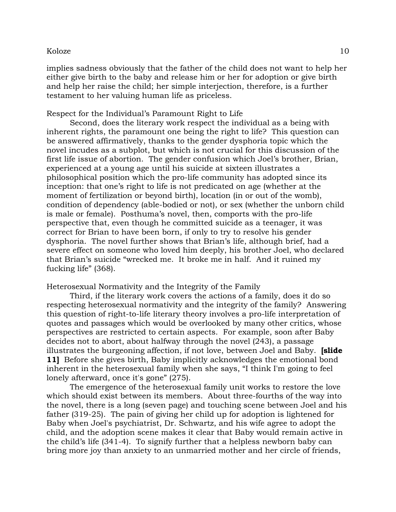implies sadness obviously that the father of the child does not want to help her either give birth to the baby and release him or her for adoption or give birth and help her raise the child; her simple interjection, therefore, is a further testament to her valuing human life as priceless.

# Respect for the Individual's Paramount Right to Life

Second, does the literary work respect the individual as a being with inherent rights, the paramount one being the right to life? This question can be answered affirmatively, thanks to the gender dysphoria topic which the novel incudes as a subplot, but which is not crucial for this discussion of the first life issue of abortion. The gender confusion which Joel's brother, Brian, experienced at a young age until his suicide at sixteen illustrates a philosophical position which the pro-life community has adopted since its inception: that one's right to life is not predicated on age (whether at the moment of fertilization or beyond birth), location (in or out of the womb), condition of dependency (able-bodied or not), or sex (whether the unborn child is male or female). Posthuma's novel, then, comports with the pro-life perspective that, even though he committed suicide as a teenager, it was correct for Brian to have been born, if only to try to resolve his gender dysphoria. The novel further shows that Brian's life, although brief, had a severe effect on someone who loved him deeply, his brother Joel, who declared that Brian's suicide "wrecked me. It broke me in half. And it ruined my fucking life" (368).

Heterosexual Normativity and the Integrity of the Family

Third, if the literary work covers the actions of a family, does it do so respecting heterosexual normativity and the integrity of the family? Answering this question of right-to-life literary theory involves a pro-life interpretation of quotes and passages which would be overlooked by many other critics, whose perspectives are restricted to certain aspects. For example, soon after Baby decides not to abort, about halfway through the novel (243), a passage illustrates the burgeoning affection, if not love, between Joel and Baby. **[slide 11]** Before she gives birth, Baby implicitly acknowledges the emotional bond inherent in the heterosexual family when she says, "I think I'm going to feel lonely afterward, once it's gone" (275).

The emergence of the heterosexual family unit works to restore the love which should exist between its members. About three-fourths of the way into the novel, there is a long (seven page) and touching scene between Joel and his father (319-25). The pain of giving her child up for adoption is lightened for Baby when Joel's psychiatrist, Dr. Schwartz, and his wife agree to adopt the child, and the adoption scene makes it clear that Baby would remain active in the child's life (341-4). To signify further that a helpless newborn baby can bring more joy than anxiety to an unmarried mother and her circle of friends,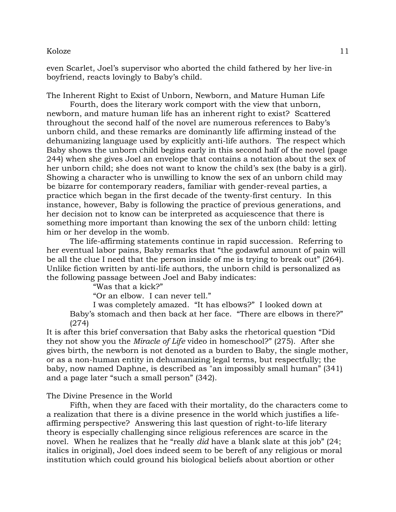even Scarlet, Joel's supervisor who aborted the child fathered by her live-in boyfriend, reacts lovingly to Baby's child.

The Inherent Right to Exist of Unborn, Newborn, and Mature Human Life

Fourth, does the literary work comport with the view that unborn, newborn, and mature human life has an inherent right to exist? Scattered throughout the second half of the novel are numerous references to Baby's unborn child, and these remarks are dominantly life affirming instead of the dehumanizing language used by explicitly anti-life authors. The respect which Baby shows the unborn child begins early in this second half of the novel (page 244) when she gives Joel an envelope that contains a notation about the sex of her unborn child; she does not want to know the child's sex (the baby is a girl). Showing a character who is unwilling to know the sex of an unborn child may be bizarre for contemporary readers, familiar with gender-reveal parties, a practice which began in the first decade of the twenty-first century. In this instance, however, Baby is following the practice of previous generations, and her decision not to know can be interpreted as acquiescence that there is something more important than knowing the sex of the unborn child: letting him or her develop in the womb.

The life-affirming statements continue in rapid succession. Referring to her eventual labor pains, Baby remarks that "the godawful amount of pain will be all the clue I need that the person inside of me is trying to break out" (264). Unlike fiction written by anti-life authors, the unborn child is personalized as the following passage between Joel and Baby indicates:

"Was that a kick?"

"Or an elbow. I can never tell."

I was completely amazed. "It has elbows?" I looked down at Baby's stomach and then back at her face. "There are elbows in there?" (274)

It is after this brief conversation that Baby asks the rhetorical question "Did they not show you the *Miracle of Life* video in homeschool?" (275). After she gives birth, the newborn is not denoted as a burden to Baby, the single mother, or as a non-human entity in dehumanizing legal terms, but respectfully; the baby, now named Daphne, is described as "an impossibly small human" (341) and a page later "such a small person" (342).

The Divine Presence in the World

Fifth, when they are faced with their mortality, do the characters come to a realization that there is a divine presence in the world which justifies a lifeaffirming perspective? Answering this last question of right-to-life literary theory is especially challenging since religious references are scarce in the novel. When he realizes that he "really *did* have a blank slate at this job" (24; italics in original), Joel does indeed seem to be bereft of any religious or moral institution which could ground his biological beliefs about abortion or other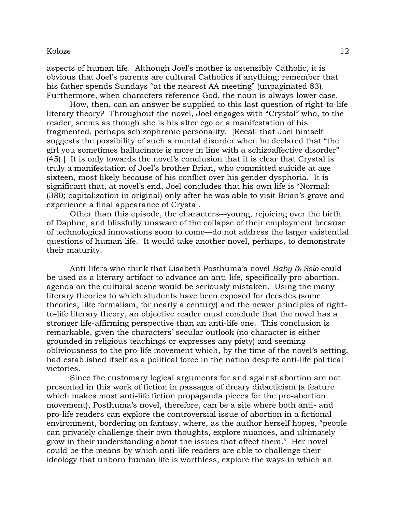aspects of human life. Although Joel's mother is ostensibly Catholic, it is obvious that Joel's parents are cultural Catholics if anything; remember that his father spends Sundays "at the nearest AA meeting" (unpaginated 83). Furthermore, when characters reference God, the noun is always lower case.

How, then, can an answer be supplied to this last question of right-to-life literary theory? Throughout the novel, Joel engages with "Crystal" who, to the reader, seems as though she is his alter ego or a manifestation of his fragmented, perhaps schizophrenic personality. [Recall that Joel himself suggests the possibility of such a mental disorder when he declared that "the girl you sometimes hallucinate is more in line with a schizoaffective disorder" (45).] It is only towards the novel's conclusion that it is clear that Crystal is truly a manifestation of Joel's brother Brian, who committed suicide at age sixteen, most likely because of his conflict over his gender dysphoria. It is significant that, at novel's end, Joel concludes that his own life is "Normal: (380; capitalization in original) only after he was able to visit Brian's grave and experience a final appearance of Crystal.

Other than this episode, the characters—young, rejoicing over the birth of Daphne, and blissfully unaware of the collapse of their employment because of technological innovations soon to come—do not address the larger existential questions of human life. It would take another novel, perhaps, to demonstrate their maturity.

Anti-lifers who think that Lisabeth Posthuma's novel *Baby & Solo* could be used as a literary artifact to advance an anti-life, specifically pro-abortion, agenda on the cultural scene would be seriously mistaken. Using the many literary theories to which students have been exposed for decades (some theories, like formalism, for nearly a century) and the newer principles of rightto-life literary theory, an objective reader must conclude that the novel has a stronger life-affirming perspective than an anti-life one. This conclusion is remarkable, given the characters' secular outlook (no character is either grounded in religious teachings or expresses any piety) and seeming obliviousness to the pro-life movement which, by the time of the novel's setting, had established itself as a political force in the nation despite anti-life political victories.

Since the customary logical arguments for and against abortion are not presented in this work of fiction in passages of dreary didacticism (a feature which makes most anti-life fiction propaganda pieces for the pro-abortion movement), Posthuma's novel, therefore, can be a site where both anti- and pro-life readers can explore the controversial issue of abortion in a fictional environment, bordering on fantasy, where, as the author herself hopes, "people can privately challenge their own thoughts, explore nuances, and ultimately grow in their understanding about the issues that affect them." Her novel could be the means by which anti-life readers are able to challenge their ideology that unborn human life is worthless, explore the ways in which an